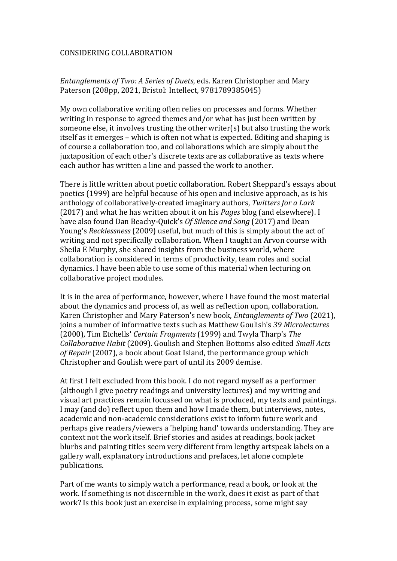# CONSIDERING COLLABORATION

# *Entanglements of Two: A Series of Duets*, eds. Karen Christopher and Mary Paterson (208pp, 2021, Bristol: Intellect, 9781789385045)

My own collaborative writing often relies on processes and forms. Whether writing in response to agreed themes and/or what has just been written by someone else, it involves trusting the other writer(s) but also trusting the work itself as it emerges – which is often not what is expected. Editing and shaping is of course a collaboration too, and collaborations which are simply about the juxtaposition of each other's discrete texts are as collaborative as texts where each author has written a line and passed the work to another.

There is little written about poetic collaboration. Robert Sheppard's essays about poetics (1999) are helpful because of his open and inclusive approach, as is his anthology of collaboratively-created imaginary authors, *Twitters for a Lark* (2017) and what he has written about it on his *Pages* blog (and elsewhere). I have also found Dan Beachy-Quick's *Of Silence and Song* (2017) and Dean Young's *Recklessness* (2009) useful, but much of this is simply about the act of writing and not specifically collaboration. When I taught an Arvon course with Sheila E Murphy, she shared insights from the business world, where collaboration is considered in terms of productivity, team roles and social dynamics. I have been able to use some of this material when lecturing on collaborative project modules.

It is in the area of performance, however, where I have found the most material about the dynamics and process of, as well as reflection upon, collaboration. Karen Christopher and Mary Paterson's new book, *Entanglements of Two* (2021), joins a number of informative texts such as Matthew Goulish's *39 Microlectures* (2000), Tim Etchells' *Certain Fragments* (1999) and Twyla Tharp's *The Collaborative Habit* (2009). Goulish and Stephen Bottoms also edited *Small Acts of Repair* (2007), a book about Goat Island, the performance group which Christopher and Goulish were part of until its 2009 demise.

At first I felt excluded from this book. I do not regard myself as a performer (although I give poetry readings and university lectures) and my writing and visual art practices remain focussed on what is produced, my texts and paintings. I may (and do) reflect upon them and how I made them, but interviews, notes, academic and non-academic considerations exist to inform future work and perhaps give readers/viewers a 'helping hand' towards understanding. They are context not the work itself. Brief stories and asides at readings, book jacket blurbs and painting titles seem very different from lengthy artspeak labels on a gallery wall, explanatory introductions and prefaces, let alone complete publications.

Part of me wants to simply watch a performance, read a book, or look at the work. If something is not discernible in the work, does it exist as part of that work? Is this book just an exercise in explaining process, some might say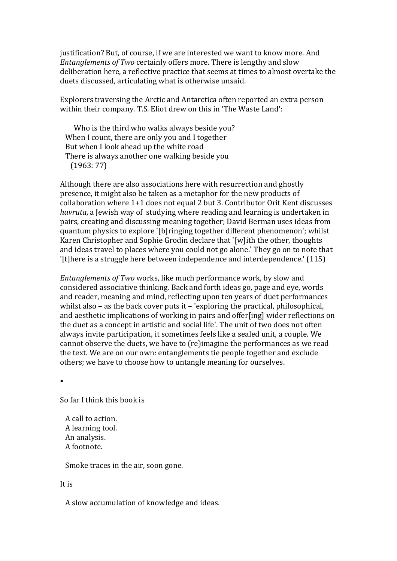justification? But, of course, if we are interested we want to know more. And *Entanglements of Two* certainly offers more. There is lengthy and slow deliberation here, a reflective practice that seems at times to almost overtake the duets discussed, articulating what is otherwise unsaid.

Explorers traversing the Arctic and Antarctica often reported an extra person within their company. T.S. Eliot drew on this in 'The Waste Land':

Who is the third who walks always beside you? When I count, there are only you and I together But when I look ahead up the white road There is always another one walking beside you (1963: 77)

Although there are also associations here with resurrection and ghostly presence, it might also be taken as a metaphor for the new products of collaboration where 1+1 does not equal 2 but 3. Contributor Orit Kent discusses *havruta*, a Jewish way of studying where reading and learning is undertaken in pairs, creating and discussing meaning together; David Berman uses ideas from quantum physics to explore '[b]ringing together different phenomenon'; whilst Karen Christopher and Sophie Grodin declare that '[w]ith the other, thoughts and ideas travel to places where you could not go alone.' They go on to note that '[t]here is a struggle here between independence and interdependence.' (115)

*Entanglements of Two* works, like much performance work, by slow and considered associative thinking. Back and forth ideas go, page and eye, words and reader, meaning and mind, reflecting upon ten years of duet performances whilst also – as the back cover puts it – 'exploring the practical, philosophical, and aesthetic implications of working in pairs and offer[ing] wider reflections on the duet as a concept in artistic and social life'. The unit of two does not often always invite participation, it sometimes feels like a sealed unit, a couple. We cannot observe the duets, we have to (re)imagine the performances as we read the text. We are on our own: entanglements tie people together and exclude others; we have to choose how to untangle meaning for ourselves.

•

So far I think this book is

 A call to action. A learning tool. An analysis. A footnote.

Smoke traces in the air, soon gone.

### It is

A slow accumulation of knowledge and ideas.